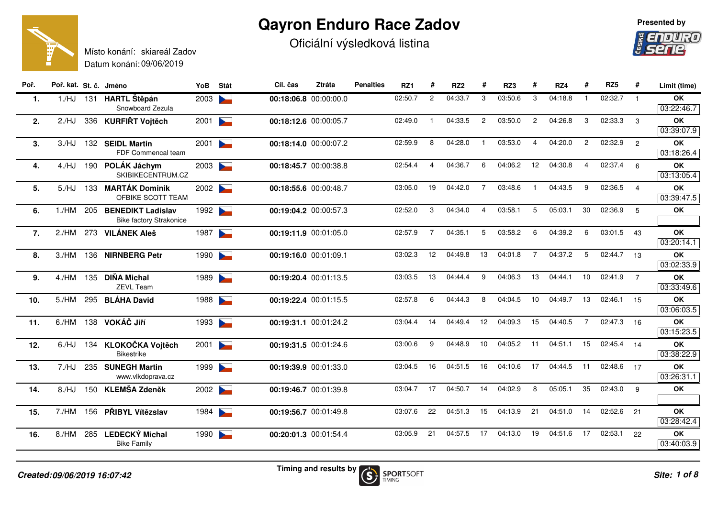## **Qayron Enduro Race Zadov**

Oficiální výsledková listina





Datum konání: 09/06/2019Místo konání: skiareál Zadov**Poř. Poř. kat. St. č. JménoYoB**

| Poř. | Poř. kat. St. č. Jméno |     |                                                            | YoB  | Stát                     | Cíl. čas              | Ztráta | <b>Penalties</b> | RZ <sub>1</sub> | #              | RZ <sub>2</sub> | #              | RZ3     | #              | RZ4     | #                       | RZ5     | #              | Limit (time)            |
|------|------------------------|-----|------------------------------------------------------------|------|--------------------------|-----------------------|--------|------------------|-----------------|----------------|-----------------|----------------|---------|----------------|---------|-------------------------|---------|----------------|-------------------------|
| 1.   | 1./HJ                  |     | 131 HARTL Štěpán<br>Snowboard Zezula                       | 2003 | $\sim$                   | 00:18:06.8 00:00:00.0 |        |                  | 02:50.7         | $\overline{2}$ | 04:33.7         | 3              | 03:50.6 | 3              | 04:18.8 | $\overline{1}$          | 02:32.7 | $\overline{1}$ | <b>OK</b><br>03:22:46.7 |
| 2.   | $2$ /HJ                |     | 336 KURFIŘT Vojtěch                                        | 2001 | $\sim$                   | 00:18:12.6 00:00:05.7 |        |                  | 02:49.0         |                | 04:33.5         | $\overline{2}$ | 03:50.0 | 2              | 04:26.8 | 3                       | 02:33.3 | $\mathbf{3}$   | OK                      |
|      |                        |     |                                                            |      |                          |                       |        |                  |                 |                |                 |                |         |                |         |                         |         |                | 03:39:07.9              |
| 3.   | 3./HJ                  |     | 132 SEIDL Martin                                           | 2001 | $\blacktriangleright$    | 00:18:14.0 00:00:07.2 |        |                  | 02:59.9         | 8              | 04:28.0         |                | 03:53.0 | $\overline{4}$ | 04:20.0 | $\overline{2}$          | 02:32.9 | $\overline{2}$ | <b>OK</b>               |
|      |                        |     | FDF Commencal team                                         |      |                          |                       |        |                  |                 |                |                 |                |         |                |         |                         |         |                | 03:18:26.4              |
| 4.   | 4./HJ                  | 190 | POLÁK Jáchym                                               | 2003 |                          | 00:18:45.7 00:00:38.8 |        |                  | 02:54.4         | 4              | 04:36.7         | 6              | 04:06.2 | 12             | 04:30.8 | $\overline{\mathbf{A}}$ | 02:37.4 | 6              | <b>OK</b>               |
|      |                        |     | SKIBIKECENTRUM.CZ                                          |      |                          |                       |        |                  |                 |                |                 |                |         |                |         |                         |         |                | 03:13:05.4              |
| 5.   | 5./HJ                  |     | 133 MARTÁK Dominik                                         | 2002 |                          | 00:18:55.6 00:00:48.7 |        |                  | 03:05.0         | 19             | 04:42.0         | $\overline{7}$ | 03:48.6 | $\mathbf{1}$   | 04:43.5 | 9                       | 02:36.5 | $\overline{4}$ | <b>OK</b>               |
|      |                        |     | OFBIKE SCOTT TEAM                                          |      |                          |                       |        |                  |                 |                |                 |                |         |                |         |                         |         |                | 03:39:47.5              |
| 6.   | 1./HM                  | 205 | <b>BENEDIKT Ladislav</b><br><b>Bike factory Strakonice</b> | 1992 |                          | 00:19:04.2 00:00:57.3 |        |                  | 02:52.0         | 3              | 04:34.0         | 4              | 03:58.1 | 5              | 05:03.1 | 30                      | 02:36.9 | 5              | OK                      |
| 7.   | 2./HM                  | 273 | <b>VILÁNEK Aleš</b>                                        | 1987 | $\blacktriangleright$    | 00:19:11.9 00:01:05.0 |        |                  | 02:57.9         | $\overline{7}$ | 04:35.1         | 5              | 03:58.2 | 6              | 04:39.2 | 6                       | 03:01.5 | 43             | <b>OK</b>               |
|      |                        |     |                                                            |      |                          |                       |        |                  |                 |                |                 |                |         |                |         |                         |         |                | 03:20:14.1              |
| 8.   | 3./HM                  | 136 | <b>NIRNBERG Petr</b>                                       | 1990 | $\blacktriangleright$    | 00:19:16.0 00:01:09.1 |        |                  | 03:02.3         | 12             | 04:49.8         | 13             | 04:01.8 | $\overline{7}$ | 04:37.2 | $5^{\circ}$             | 02:44.7 | 13             | <b>OK</b>               |
|      |                        |     |                                                            |      |                          |                       |        |                  |                 |                |                 |                |         |                |         |                         |         |                | 03:02:33.9              |
| 9.   | 4./HM                  |     | 135 DIŇA Michal<br>ZEVL Team                               | 1989 | $\overline{\phantom{0}}$ | 00:19:20.4 00:01:13.5 |        |                  | 03:03.5         | 13             | 04:44.4         | 9              | 04:06.3 | 13             | 04:44.1 | 10                      | 02:41.9 | $\overline{7}$ | <b>OK</b>               |
|      |                        |     |                                                            |      |                          |                       |        |                  |                 |                |                 |                |         |                |         |                         |         |                | 03:33:49.6              |
| 10.  | 5./HM                  |     | 295 BLÁHA David                                            | 1988 | $\blacktriangleright$    | 00:19:22.4 00:01:15.5 |        |                  | 02:57.8         | 6              | 04:44.3         | 8              | 04:04.5 | 10             | 04:49.7 | 13                      | 02:46.1 | 15             | <b>OK</b><br>03:06:03.5 |
| 11.  | 6./HM                  |     | 138 VOKÁČ Jiří                                             | 1993 | $\blacktriangleright$    | 00:19:31.1 00:01:24.2 |        |                  | 03:04.4         | 14             | 04:49.4         | 12             | 04:09.3 | 15             | 04:40.5 | $\overline{7}$          | 02:47.3 | 16             | <b>OK</b>               |
|      |                        |     |                                                            |      |                          |                       |        |                  |                 |                |                 |                |         |                |         |                         |         |                | 03:15:23.5              |
| 12.  | 6./HJ                  |     | 134 KLOKOČKA Vojtěch                                       | 2001 | $\sum_{i=1}^{n}$         | 00:19:31.5 00:01:24.6 |        |                  | 03:00.6         | 9              | 04:48.9         | 10             | 04:05.2 | 11             | 04:51.1 | 15                      | 02:45.4 | 14             | <b>OK</b>               |
|      |                        |     | <b>Bikestrike</b>                                          |      |                          |                       |        |                  |                 |                |                 |                |         |                |         |                         |         |                | 03:38:22.9              |
| 13.  | 7./HJ                  |     | 235 SUNEGH Martin                                          | 1999 | $\overline{\phantom{0}}$ | 00:19:39.9 00:01:33.0 |        |                  | 03:04.5         | 16             | 04:51.5         | 16             | 04:10.6 | 17             | 04:44.5 | 11                      | 02:48.6 | 17             | <b>OK</b>               |
|      |                        |     | www.vlkdoprava.cz                                          |      |                          |                       |        |                  |                 |                |                 |                |         |                |         |                         |         |                | 03:26:31.1              |
| 14.  | 8./HJ                  |     | 150 KLEMŠA Zdeněk                                          | 2002 |                          | 00:19:46.7 00:01:39.8 |        |                  | 03:04.7         | 17             | 04:50.7         | 14             | 04:02.9 | 8              | 05:05.1 | 35                      | 02:43.0 | - 9            | <b>OK</b>               |
| 15.  | 7./HM                  | 156 | PŘIBYL Vítězslav                                           | 1984 | $\overline{\phantom{a}}$ | 00:19:56.7 00:01:49.8 |        |                  | 03:07.6         | 22             | 04:51.3         | 15             | 04:13.9 | 21             | 04:51.0 | 14                      | 02:52.6 | 21             | <b>OK</b>               |
|      |                        |     |                                                            |      |                          |                       |        |                  |                 |                |                 |                |         |                |         |                         |         |                | 03:28:42.4              |
| 16.  | 8./HM                  |     | 285 LEDECKÝ Michal                                         | 1990 | $\overline{\phantom{a}}$ | 00:20:01.3 00:01:54.4 |        |                  | 03:05.9         | 21             | 04:57.5         | 17             | 04:13.0 | 19             | 04:51.6 | 17                      | 02:53.1 | 22             | OK                      |
|      |                        |     | <b>Bike Family</b>                                         |      |                          |                       |        |                  |                 |                |                 |                |         |                |         |                         |         |                | 03:40:03.9              |
|      |                        |     |                                                            |      |                          |                       |        |                  |                 |                |                 |                |         |                |         |                         |         |                |                         |

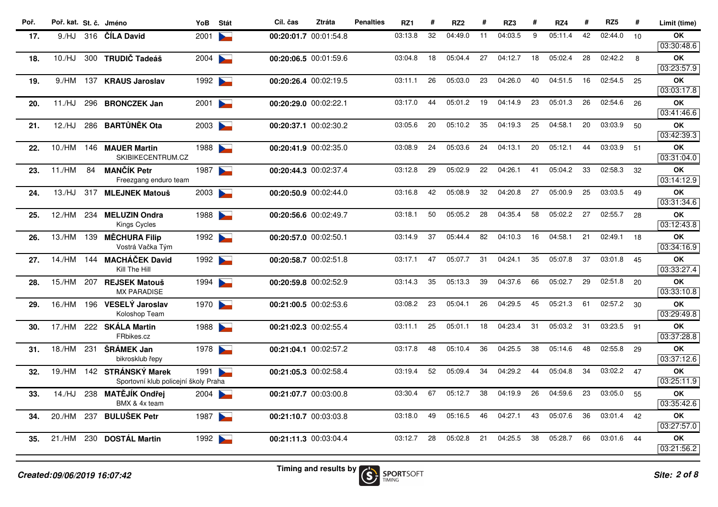| Poř. | Poř. kat. St. č. Jméno |     |                                                            | YoB  | Stát                              | Cíl. čas              | Ztráta | <b>Penalties</b> | RZ1     | #  | RZ <sub>2</sub> | #  | RZ3     | #  | RZ4     | #  | RZ <sub>5</sub> | #  | Limit (time)            |
|------|------------------------|-----|------------------------------------------------------------|------|-----------------------------------|-----------------------|--------|------------------|---------|----|-----------------|----|---------|----|---------|----|-----------------|----|-------------------------|
| 17.  | 9./HJ                  |     | 316 ČÍLA David                                             | 2001 |                                   | 00:20:01.7 00:01:54.8 |        |                  | 03:13.8 | 32 | 04:49.0         | 11 | 04:03.5 | 9  | 05:11.4 | 42 | 02:44.0         | 10 | OK                      |
|      |                        |     |                                                            |      |                                   |                       |        |                  |         |    |                 |    |         |    |         |    |                 |    | 03:30:48.6              |
| 18.  | 10./HJ                 |     | 300 TRUDIČ Tadeáš                                          | 2004 | <b>Contract Contract Contract</b> | 00:20:06.5 00:01:59.6 |        |                  | 03:04.8 | 18 | 05:04.4         | 27 | 04:12.7 | 18 | 05:02.4 | 28 | 02:42.2         | 8  | OK                      |
|      |                        |     |                                                            |      |                                   |                       |        |                  |         |    |                 |    |         |    |         |    |                 |    | 03:23:57.9              |
| 19.  | 9./HM                  | 137 | <b>KRAUS Jaroslav</b>                                      | 1992 | <b>Contract Contract Contract</b> | 00:20:26.4 00:02:19.5 |        |                  | 03:11.1 | 26 | 05:03.0         | 23 | 04:26.0 | 40 | 04:51.5 | 16 | 02:54.5         | 25 | OK<br>03:03:17.8        |
| 20.  | 11./HJ                 |     | 296 BRONCZEK Jan                                           | 2001 | $\overline{\phantom{0}}$          | 00:20:29.0 00:02:22.1 |        |                  | 03:17.0 | 44 | 05:01.2         | 19 | 04:14.9 | 23 | 05:01.3 | 26 | 02:54.6         | 26 | <b>OK</b><br>03:41:46.6 |
| 21.  | 12./HJ                 |     | 286 BARTŮNĚK Ota                                           | 2003 |                                   | 00:20:37.1 00:02:30.2 |        |                  | 03:05.6 | 20 | 05:10.2         | 35 | 04:19.3 | 25 | 04:58.1 | 20 | 03:03.9         | 50 | OK<br>03:42:39.3        |
| 22.  | 10./HM                 |     | 146 MAUER Martin<br>SKIBIKECENTRUM.CZ                      | 1988 | <b>Contract Contract Contract</b> | 00:20:41.9 00:02:35.0 |        |                  | 03:08.9 | 24 | 05:03.6         | 24 | 04:13.1 | 20 | 05:12.1 | 44 | 03:03.9         | 51 | <b>OK</b><br>03:31:04.0 |
| 23.  | 11./HM                 | 84  | <b>MANČÍK Petr</b><br>Freezgang enduro team                | 1987 | $\geq$                            | 00:20:44.3 00:02:37.4 |        |                  | 03:12.8 | 29 | 05:02.9         | 22 | 04:26.1 | 41 | 05:04.2 | 33 | 02:58.3         | 32 | <b>OK</b><br>03:14:12.9 |
| 24.  | 13./HJ                 |     | 317 MLEJNEK Matouš                                         | 2003 | <b>Contract Contract Contract</b> | 00:20:50.9 00:02:44.0 |        |                  | 03:16.8 | 42 | 05:08.9         | 32 | 04:20.8 | 27 | 05:00.9 | 25 | 03:03.5         | 49 | <b>OK</b><br>03:31:34.6 |
| 25.  |                        |     | 12./HM 234 MELUZIN Ondra<br>Kings Cycles                   | 1988 |                                   | 00:20:56.6 00:02:49.7 |        |                  | 03:18.1 | 50 | 05:05.2         | 28 | 04:35.4 | 58 | 05:02.2 | 27 | 02:55.7         | 28 | <b>OK</b><br>03:12:43.8 |
| 26.  |                        |     | 13./HM 139 MĚCHURA Filip<br>Vostrá Vačka Tým               | 1992 |                                   | 00:20:57.0 00:02:50.1 |        |                  | 03:14.9 | 37 | 05:44.4         | 82 | 04:10.3 | 16 | 04:58.1 | 21 | 02:49.1         | 18 | <b>OK</b><br>03:34:16.9 |
| 27.  |                        |     | 14./HM 144 MACHÁČEK David<br>Kill The Hill                 | 1992 |                                   | 00:20:58.7 00:02:51.8 |        |                  | 03:17.1 | 47 | 05:07.7         | 31 | 04:24.1 | 35 | 05:07.8 | 37 | 03:01.8         | 45 | OK<br>03:33:27.4        |
| 28.  | 15./HM                 | 207 | <b>REJSEK Matouš</b><br><b>MX PARADISE</b>                 | 1994 | <b>Contract Contract Contract</b> | 00:20:59.8 00:02:52.9 |        |                  | 03:14.3 | 35 | 05:13.3         | 39 | 04:37.6 | 66 | 05:02.7 | 29 | 02:51.8         | 20 | <b>OK</b><br>03:33:10.8 |
| 29.  | 16./HM                 | 196 | VESELÝ Jaroslav<br>Koloshop Team                           | 1970 |                                   | 00:21:00.5 00:02:53.6 |        |                  | 03:08.2 | 23 | 05:04.1         | 26 | 04:29.5 | 45 | 05:21.3 | 61 | 02:57.2         | 30 | <b>OK</b><br>03:29:49.8 |
| 30.  | 17./HM                 |     | 222 SKÁLA Martin<br>FRbikes.cz                             | 1988 |                                   | 00:21:02.3 00:02:55.4 |        |                  | 03:11.1 | 25 | 05:01.1         | 18 | 04:23.4 | 31 | 05:03.2 | 31 | 03:23.5         | 91 | OK<br>03:37:28.8        |
| 31.  | 18./HM                 | 231 | ŠRÁMEK Jan<br>bikrosklub řepy                              | 1978 |                                   | 00:21:04.1 00:02:57.2 |        |                  | 03:17.8 | 48 | 05:10.4         | 36 | 04:25.5 | 38 | 05:14.6 | 48 | 02:55.8         | 29 | OK<br>03:37:12.6        |
| 32.  | 19./HM                 |     | 142 STRÁNSKÝ Marek<br>Sportovní klub policejní školy Praha | 1991 |                                   | 00:21:05.3 00:02:58.4 |        |                  | 03:19.4 | 52 | 05:09.4         | 34 | 04:29.2 | 44 | 05:04.8 | 34 | 03:02.2         | 47 | OK<br>03:25:11.9        |
| 33.  | 14./HJ                 | 238 | MATĚJÍK Ondřej<br>BMX & 4x team                            | 2004 |                                   | 00:21:07.7 00:03:00.8 |        |                  | 03:30.4 | 67 | 05:12.7         | 38 | 04:19.9 | 26 | 04:59.6 | 23 | 03:05.0         | 55 | OK<br>03:35:42.6        |
| 34.  | 20./HM                 | 237 | <b>BULUŠEK Petr</b>                                        | 1987 | <b>Contract of the State</b>      | 00:21:10.7 00:03:03.8 |        |                  | 03:18.0 | 49 | 05:16.5         | 46 | 04:27.1 | 43 | 05:07.6 | 36 | 03:01.4         | 42 | OK<br>03:27:57.0        |
| 35.  | 21./HM                 |     | 230 DOSTÁL Martin                                          | 1992 |                                   | 00:21:11.3 00:03:04.4 |        |                  | 03:12.7 | 28 | 05:02.8         | 21 | 04:25.5 | 38 | 05:28.7 | 66 | 03:01.6         | 44 | OK<br>03:21:56.2        |
|      |                        |     |                                                            |      |                                   |                       |        |                  |         |    |                 |    |         |    |         |    |                 |    |                         |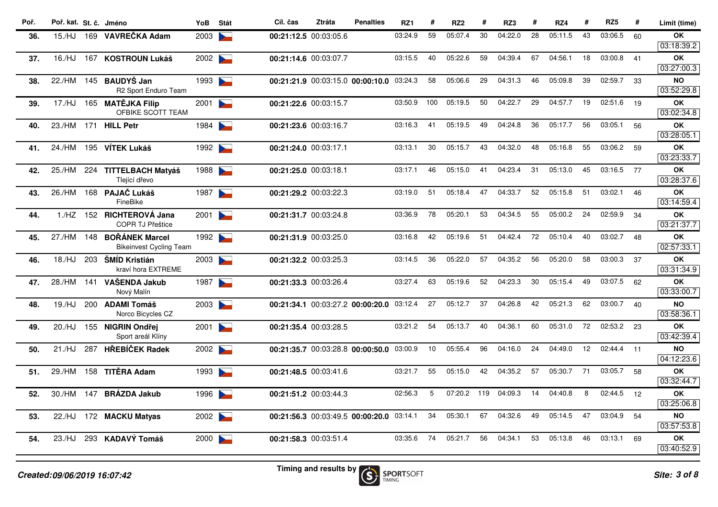| Poř. | Poř. kat. St. č. Jméno |     |                                                      | YoB  | Stát                | Cíl. čas              | <b>Ztráta</b> | <b>Penalties</b>                         | RZ1     | #   | RZ <sub>2</sub> | #   | RZ3     | #  | RZ4     | #  | RZ <sub>5</sub> | #  | Limit (time)            |
|------|------------------------|-----|------------------------------------------------------|------|---------------------|-----------------------|---------------|------------------------------------------|---------|-----|-----------------|-----|---------|----|---------|----|-----------------|----|-------------------------|
| 36.  | 15./HJ                 |     | 169 VAVREČKA Adam                                    | 2003 |                     | 00:21:12.5 00:03:05.6 |               |                                          | 03:24.9 | 59  | 05:07.4         | 30  | 04:22.0 | 28 | 05:11.5 | 43 | 03:06.5         | 60 | ОK                      |
|      |                        |     |                                                      |      |                     |                       |               |                                          |         |     |                 |     |         |    |         |    |                 |    | 03:18:39.2              |
| 37.  | 16./HJ                 |     | 167 KOSTROUN Lukáš                                   | 2002 |                     | 00:21:14.6 00:03:07.7 |               |                                          | 03:15.5 | 40  | 05:22.6         | 59  | 04:39.4 | 67 | 04:56.1 | 18 | 03:00.8         | 41 | OK<br>03:27:00.3        |
| 38.  | 22./HM                 |     | 145 BAUDYŠ Jan                                       | 1993 |                     |                       |               | 00:21:21.9 00:03:15.0 00:00:10.0         | 03:24.3 | 58  | 05:06.6         | 29  | 04:31.3 | 46 | 05:09.8 | 39 | 02:59.7         | 33 | <b>NO</b>               |
|      |                        |     | R2 Sport Enduro Team                                 |      |                     |                       |               |                                          |         |     |                 |     |         |    |         |    |                 |    | 03:52:29.8              |
| 39.  | 17./HJ                 |     | 165 MATĚJKA Filip<br>OFBIKE SCOTT TEAM               | 2001 |                     | 00:21:22.6 00:03:15.7 |               |                                          | 03:50.9 | 100 | 05:19.5         | 50  | 04:22.7 | 29 | 04:57.7 | 19 | 02:51.6         | 19 | OK<br>03:02:34.8        |
| 40.  |                        |     | 23./HM 171 HILL Petr                                 | 1984 |                     | 00:21:23.6 00:03:16.7 |               |                                          | 03:16.3 | 41  | 05:19.5         | 49  | 04:24.8 | 36 | 05:17.7 | 56 | 03:05.1         | 56 | OK<br>03:28:05.1        |
| 41.  | 24./HM                 |     | 195 VÍTEK Lukáš                                      | 1992 |                     | 00:21:24.0 00:03:17.1 |               |                                          | 03:13.1 | 30  | 05:15.7         | 43  | 04:32.0 | 48 | 05:16.8 | 55 | 03:06.2         | 59 | OK<br>03:23:33.7        |
| 42.  | 25./HM                 |     | 224 TITTELBACH Matyáš<br>Tlející dřevo               | 1988 |                     | 00:21:25.0 00:03:18.1 |               |                                          | 03:17.1 | 46  | 05:15.0         | 41  | 04:23.4 | 31 | 05:13.0 | 45 | 03:16.5         | 77 | ОK<br>03:28:37.6        |
| 43.  | 26./HM                 |     | 168 PAJAČ Lukáš<br>FineBike                          | 1987 |                     | 00:21:29.2 00:03:22.3 |               |                                          | 03:19.0 | 51  | 05:18.4         | 47  | 04:33.7 | 52 | 05:15.8 | 51 | 03:02.1         | 46 | <b>OK</b><br>03:14:59.4 |
| 44.  |                        |     | 1./HZ 152 RICHTEROVÁ Jana<br><b>COPR TJ Přeštice</b> | 2001 |                     | 00:21:31.7 00:03:24.8 |               |                                          | 03:36.9 | 78  | 05:20.1         | 53  | 04:34.5 | 55 | 05:00.2 | 24 | 02:59.9         | 34 | OK<br>03:21:37.7        |
| 45.  | 27./HM                 |     | 148 BORANEK Marcel<br><b>Bikeinvest Cycling Team</b> | 1992 |                     | 00:21:31.9 00:03:25.0 |               |                                          | 03:16.8 | 42  | 05:19.6         | 51  | 04:42.4 | 72 | 05:10.4 | 40 | 03:02.7         | 48 | OK<br>02:57:33.1        |
| 46.  | 18./HJ                 |     | 203 ŠMÍD Kristián<br>kraví hora EXTREME              | 2003 |                     | 00:21:32.2 00:03:25.3 |               |                                          | 03:14.5 | 36  | 05:22.0         | 57  | 04:35.2 | 56 | 05:20.0 | 58 | 03:00.3         | 37 | <b>OK</b><br>03:31:34.9 |
| 47.  | 28./HM                 | 141 | VAŠENDA Jakub<br>Nový Malín                          | 1987 | <b>Particularly</b> | 00:21:33.3 00:03:26.4 |               |                                          | 03:27.4 | 63  | 05:19.6         | 52  | 04:23.3 | 30 | 05:15.4 | 49 | 03:07.5         | 62 | ΟK<br>03:33:00.7        |
| 48.  | 19./HJ                 |     | 200 ADAMI Tomáš<br>Norco Bicycles CZ                 | 2003 |                     |                       |               | 00:21:34.1 00:03:27.2 00:00:20.0 03:12.4 |         | 27  | 05:12.7         | 37  | 04:26.8 | 42 | 05:21.3 | 62 | 03:00.7         | 40 | <b>NO</b><br>03:58:36.1 |
| 49.  | 20./HJ                 |     | 155 NIGRIN Ondřej<br>Sport areál Klíny               | 2001 |                     | 00:21:35.4 00:03:28.5 |               |                                          | 03:21.2 | 54  | 05:13.7         | 40  | 04:36.1 | 60 | 05:31.0 | 72 | 02:53.2 23      |    | <b>OK</b><br>03:42:39.4 |
| 50.  | 21./HJ                 | 287 | <b>HŘEBÍČEK Radek</b>                                | 2002 |                     |                       |               | 00:21:35.7 00:03:28.8 00:00:50.0         | 03:00.9 | 10  | 05:55.4         | 96  | 04:16.0 | 24 | 04:49.0 | 12 | 02:44.4 11      |    | NO<br>04:12:23.6        |
| 51.  | 29./HM                 |     | 158 TITĚRA Adam                                      | 1993 |                     | 00:21:48.5 00:03:41.6 |               |                                          | 03:21.7 | 55  | 05:15.0         | 42  | 04:35.2 | 57 | 05:30.7 | 71 | 03:05.7         | 58 | <b>OK</b><br>03:32:44.7 |
| 52.  | 30./HM                 | 147 | <b>BRÁZDA Jakub</b>                                  | 1996 |                     | 00:21:51.2 00:03:44.3 |               |                                          | 02:56.3 | 5   | 07:20.2         | 119 | 04:09.3 | 14 | 04:40.8 | 8  | 02:44.5         | 12 | <b>OK</b><br>03:25:06.8 |
| 53.  | 22./HJ                 |     | 172 MACKU Matyas                                     | 2002 |                     |                       |               | 00:21:56.3 00:03:49.5 00:00:20.0         | 03:14.1 | 34  | 05:30.1         | 67  | 04:32.6 | 49 | 05:14.5 | 47 | 03:04.9         | 54 | <b>NO</b><br>03:57:53.8 |
| 54.  | 23./HJ                 |     | 293 KADAVÝ Tomáš                                     | 2000 |                     | 00:21:58.3 00:03:51.4 |               |                                          | 03:35.6 | 74  | 05:21.7         | 56  | 04:34.1 | 53 | 05:13.8 | 46 | 03:13.1         | 69 | OK<br>03:40:52.9        |
|      |                        |     |                                                      |      |                     |                       |               |                                          |         |     |                 |     |         |    |         |    |                 |    |                         |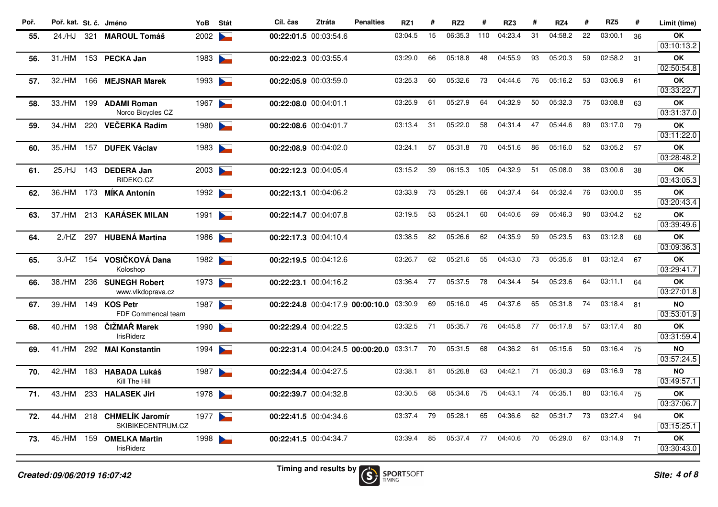| Poř. | Poř. kat. St. č. Jméno      |     |                                                 | YoB  | Stát                                                                                                                                                                                                                                 | Cíl. čas              | <b>Ztráta</b>                                   | <b>Penalties</b>                 | RZ1              |    | RZ <sub>2</sub> |     | RZ3     |     | RZ4     |    | RZ <sub>5</sub> | #  | Limit (time)            |
|------|-----------------------------|-----|-------------------------------------------------|------|--------------------------------------------------------------------------------------------------------------------------------------------------------------------------------------------------------------------------------------|-----------------------|-------------------------------------------------|----------------------------------|------------------|----|-----------------|-----|---------|-----|---------|----|-----------------|----|-------------------------|
| 55.  | 24./HJ                      | 321 | <b>MAROUL Tomáš</b>                             | 2002 |                                                                                                                                                                                                                                      | 00:22:01.5 00:03:54.6 |                                                 |                                  | 03:04.5          | 15 | 06:35.3         | 110 | 04:23.4 | 31  | 04:58.2 | 22 | 03:00.1         | 36 | OK                      |
|      |                             |     |                                                 |      |                                                                                                                                                                                                                                      |                       |                                                 |                                  |                  |    |                 |     |         |     |         |    |                 |    | 03:10:13.2              |
| 56.  | 31./HM                      |     | 153 PECKA Jan                                   | 1983 | <b>Contract Contract</b>                                                                                                                                                                                                             | 00:22:02.3 00:03:55.4 |                                                 |                                  | 03:29.0          | 66 | 05:18.8         | 48  | 04:55.9 | 93  | 05:20.3 | 59 | 02:58.2         | 31 | OK                      |
|      |                             |     |                                                 |      |                                                                                                                                                                                                                                      |                       |                                                 |                                  |                  |    |                 |     |         |     |         |    |                 |    | 02:50:54.8              |
| 57.  | 32./HM                      |     | 166 MEJSNAR Marek                               | 1993 | <b>Contract Contract Contract Contract Contract Contract Contract Contract Contract Contract Contract Contract Contract Contract Contract Contract Contract Contract Contract Contract Contract Contract Contract Contract Contr</b> | 00:22:05.9 00:03:59.0 |                                                 |                                  | 03:25.3          | 60 | 05:32.6         | 73  | 04:44.6 | 76  | 05:16.2 | 53 | 03:06.9         | 61 | OK<br>03:33:22.7        |
| 58.  | 33./HM                      | 199 | <b>ADAMI Roman</b><br>Norco Bicycles CZ         | 1967 | <b>Contract Contract Contract</b>                                                                                                                                                                                                    | 00:22:08.0 00:04:01.1 |                                                 |                                  | 03:25.9          | 61 | 05:27.9         | 64  | 04:32.9 | 50  | 05:32.3 | 75 | 03:08.8         | 63 | OK<br>03:31:37.0        |
| 59.  | 34./HM                      | 220 | <b>VEČERKA Radim</b>                            | 1980 | <b>Contract Contract Contract</b>                                                                                                                                                                                                    | 00:22:08.6 00:04:01.7 |                                                 |                                  | 03:13.4          | 31 | 05:22.0         | 58  | 04:31.4 | 47  | 05:44.6 | 89 | 03:17.0         | 79 | OK<br>03:11:22.0        |
| 60.  | 35./HM                      | 157 | <b>DUFEK Václav</b>                             | 1983 | $\blacktriangleright$                                                                                                                                                                                                                | 00:22:08.9 00:04:02.0 |                                                 |                                  | 03:24.1          | 57 | 05:31.8         | 70  | 04:51.6 | 86  | 05:16.0 | 52 | 03:05.2         | 57 | OK                      |
|      |                             |     |                                                 |      |                                                                                                                                                                                                                                      |                       |                                                 |                                  |                  |    |                 |     |         |     |         |    |                 |    | 03:28:48.2              |
| 61.  | 25./HJ                      | 143 | <b>DEDERA Jan</b><br>RIDEKO.CZ                  | 2003 | <b>Contract Contract Contract</b>                                                                                                                                                                                                    | 00:22:12.3 00:04:05.4 |                                                 |                                  | 03:15.2          | 39 | 06:15.3         | 105 | 04:32.9 | 51  | 05:08.0 | 38 | 03:00.6         | 38 | OK<br>03:43:05.3        |
| 62.  | 36./HM                      | 173 | <b>MÍKA Antonín</b>                             | 1992 | $\blacktriangleright$                                                                                                                                                                                                                | 00:22:13.1 00:04:06.2 |                                                 |                                  | 03:33.9          | 73 | 05:29.1         | 66  | 04:37.4 | 64  | 05:32.4 | 76 | 03:00.0         | 35 | OK                      |
|      |                             |     |                                                 |      |                                                                                                                                                                                                                                      |                       |                                                 |                                  |                  |    |                 |     |         |     |         |    |                 |    | 03:20:43.4              |
| 63.  | 37./HM                      | 213 | <b>KARÁSEK MILAN</b>                            | 1991 | <b>Contract Contract Contract</b>                                                                                                                                                                                                    | 00:22:14.7 00:04:07.8 |                                                 |                                  | 03:19.5          | 53 | 05:24.1         | 60  | 04:40.6 | 69  | 05:46.3 | 90 | 03:04.2         | 52 | OK                      |
|      |                             |     |                                                 |      |                                                                                                                                                                                                                                      |                       |                                                 |                                  |                  |    |                 |     |         |     |         |    |                 |    | 03:39:49.6              |
| 64.  | 2./HZ                       | 297 | <b>HUBENÁ Martina</b>                           | 1986 | $\overline{\phantom{0}}$                                                                                                                                                                                                             | 00:22:17.3 00:04:10.4 |                                                 |                                  | 03:38.5          | 82 | 05:26.6         | 62  | 04:35.9 | 59  | 05:23.5 | 63 | 03:12.8         | 68 | OK<br>03:09:36.3        |
| 65.  | 3./HZ                       | 154 | VOSIČKOVÁ Dana                                  | 1982 |                                                                                                                                                                                                                                      | 00:22:19.5 00:04:12.6 |                                                 |                                  | 03:26.7          | 62 | 05:21.6         | 55  | 04:43.0 | 73  | 05:35.6 | 81 | 03:12.4         | 67 | OK                      |
|      |                             |     | Koloshop                                        |      |                                                                                                                                                                                                                                      |                       |                                                 |                                  |                  |    |                 |     |         |     |         |    |                 |    | 03:29:41.7              |
| 66.  | 38./HM                      |     | 236 SUNEGH Robert<br>www.vlkdoprava.cz          | 1973 |                                                                                                                                                                                                                                      | 00:22:23.1 00:04:16.2 |                                                 |                                  | 03:36.4          | 77 | 05:37.5         | 78  | 04:34.4 | 54  | 05:23.6 | 64 | 03:11.1         | 64 | OK<br>03:27:01.8        |
| 67.  | 39./HM                      |     | 149 KOS Petr<br>FDF Commencal team              | 1987 | <b>Contract Contract Contract</b>                                                                                                                                                                                                    |                       |                                                 | 00:22:24.8 00:04:17.9 00:00:10.0 | 03:30.9          | 69 | 05:16.0         | 45  | 04:37.6 | 65  | 05:31.8 | 74 | 03:18.4         | 81 | <b>NO</b><br>03:53:01.9 |
| 68.  | 40./HM                      | 198 | ČIŽMAŘ Marek                                    | 1990 | <b>Contract Contract Contract</b>                                                                                                                                                                                                    | 00:22:29.4 00:04:22.5 |                                                 |                                  | 03:32.5          | 71 | 05:35.7         | 76  | 04:45.8 | 77  | 05:17.8 | 57 | 03:17.4         | 80 | OK                      |
|      |                             |     | <b>IrisRiderz</b>                               |      |                                                                                                                                                                                                                                      |                       |                                                 |                                  |                  |    |                 |     |         |     |         |    |                 |    | 03:31:59.4              |
| 69.  | 41./HM                      |     | 292 MAI Konstantin                              | 1994 | <b>Contract Contract Contract</b>                                                                                                                                                                                                    |                       |                                                 | 00:22:31.4 00:04:24.5 00:00:20.0 | 03:31.7          | 70 | 05:31.5         | 68  | 04:36.2 | -61 | 05:15.6 | 50 | 03:16.4         | 75 | <b>NO</b>               |
|      |                             |     |                                                 |      |                                                                                                                                                                                                                                      |                       |                                                 |                                  |                  |    |                 |     |         |     |         |    |                 |    | 03:57:24.5              |
| 70.  | 42./HM                      |     | 183 HABADA Lukáš                                | 1987 | <b>Contract Contract</b>                                                                                                                                                                                                             | 00:22:34.4 00:04:27.5 |                                                 |                                  | 03:38.1          | 81 | 05:26.8         | 63  | 04:42.1 | 71  | 05:30.3 | 69 | 03:16.9         | 78 | <b>NO</b>               |
|      |                             |     | Kill The Hill                                   |      |                                                                                                                                                                                                                                      |                       |                                                 |                                  |                  |    |                 |     |         |     |         |    |                 |    | 03:49:57.1              |
| 71.  | 43./HM                      |     | 233 HALASEK Jiri                                | 1978 |                                                                                                                                                                                                                                      | 00:22:39.7 00:04:32.8 |                                                 |                                  | 03:30.5          | 68 | 05:34.6         | 75  | 04:43.1 | 74  | 05:35.1 | 80 | 03:16.4         | 75 | OK<br>03:37:06.7        |
| 72.  |                             |     | 44./HM 218 CHMELÍK Jaromír<br>SKIBIKECENTRUM.CZ | 1977 | <b>Service</b>                                                                                                                                                                                                                       | 00:22:41.5 00:04:34.6 |                                                 |                                  | 03:37.4          | 79 | 05:28.1         | 65  | 04:36.6 | 62  | 05:31.7 | 73 | 03:27.4         | 94 | OK                      |
|      |                             |     |                                                 |      |                                                                                                                                                                                                                                      |                       |                                                 |                                  | 03:39.4          | 85 | 05:37.4         | 77  | 04:40.6 | 70  | 05:29.0 | 67 | 03:14.9 71      |    | 03:15:25.1<br>OK        |
| 73.  | 45./HM                      |     | 159 OMELKA Martin<br>IrisRiderz                 | 1998 |                                                                                                                                                                                                                                      | 00:22:41.5 00:04:34.7 |                                                 |                                  |                  |    |                 |     |         |     |         |    |                 |    | 03:30:43.0              |
|      | Created:09/06/2019 16:07:42 |     |                                                 |      |                                                                                                                                                                                                                                      |                       | Timing and results by $\left(\mathbf{S}\right)$ | <b>TIMING</b>                    | <b>SPORTSOFT</b> |    |                 |     |         |     |         |    |                 |    | Site: 4 of 8            |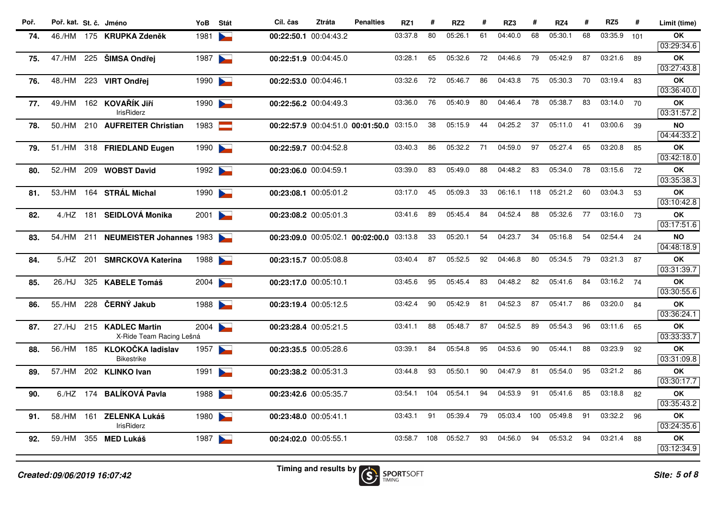| Poř. | Poř. kat. St. č. Jméno |     |                                       | YoB  | Stát                     | Cíl. čas              | <b>Ztráta</b> | <b>Penalties</b>                         | RZ1     | #   | RZ <sub>2</sub> | #  | RZ3     | #   | RZ4     | #  | RZ <sub>5</sub> | #    | Limit (time)            |
|------|------------------------|-----|---------------------------------------|------|--------------------------|-----------------------|---------------|------------------------------------------|---------|-----|-----------------|----|---------|-----|---------|----|-----------------|------|-------------------------|
| 74.  |                        |     | 46./HM 175 KRUPKA Zdeněk              | 1981 |                          | 00:22:50.1 00:04:43.2 |               |                                          | 03:37.8 | 80  | 05:26.1         | 61 | 04:40.0 | 68  | 05:30.1 | 68 | 03:35.9         | 101  | OK                      |
|      |                        |     |                                       |      |                          |                       |               |                                          |         |     |                 |    |         |     |         |    |                 |      | 03:29:34.6              |
| 75.  |                        |     | 47./HM 225 ŠIMSA Ondřej               | 1987 | $\overline{\phantom{0}}$ | 00:22:51.9 00:04:45.0 |               |                                          | 03:28.1 | 65  | 05:32.6         | 72 | 04:46.6 | 79  | 05:42.9 | 87 | 03:21.6         | 89   | <b>OK</b>               |
|      |                        |     |                                       |      |                          |                       |               |                                          |         |     |                 |    |         |     |         |    |                 |      | 03:27:43.8              |
| 76.  | 48./HM                 |     | 223 VIRT Ondřej                       | 1990 | $\overline{\phantom{0}}$ | 00:22:53.0 00:04:46.1 |               |                                          | 03:32.6 | 72  | 05:46.7         | 86 | 04:43.8 | 75  | 05:30.3 | 70 | 03:19.4         | 83   | OK<br>03:36:40.0        |
| 77.  | 49./HM                 |     | 162 KOVAŘÍK JIří<br><b>IrisRiderz</b> | 1990 | $\overline{\phantom{0}}$ | 00:22:56.2 00:04:49.3 |               |                                          | 03:36.0 | 76  | 05:40.9         | 80 | 04:46.4 | 78  | 05:38.7 | 83 | 03:14.0         | 70   | OK<br>03:31:57.2        |
| 78.  | 50./HM                 |     | 210 AUFREITER Christian               | 1983 | <b>The State</b>         |                       |               | 00:22:57.9 00:04:51.0 00:01:50.0         | 03:15.0 | 38  | 05:15.9         | 44 | 04:25.2 | 37  | 05:11.0 | 41 | 03:00.6         | 39   | <b>NO</b>               |
|      |                        |     |                                       |      |                          |                       |               |                                          |         |     |                 |    |         |     |         |    |                 |      | 04:44:33.2              |
| 79.  | 51./HM                 |     | 318 FRIEDLAND Eugen                   | 1990 | $\sim$                   | 00:22:59.7 00:04:52.8 |               |                                          | 03:40.3 | 86  | 05:32.2         | 71 | 04:59.0 | 97  | 05:27.4 | 65 | 03:20.8         | 85   | OK<br>03:42:18.0        |
| 80.  | 52./HM                 | 209 | <b>WOBST David</b>                    | 1992 |                          | 00:23:06.0 00:04:59.1 |               |                                          | 03:39.0 | 83  | 05:49.0         | 88 | 04:48.2 | 83  | 05:34.0 | 78 | 03:15.6         | 72   | <b>OK</b>               |
|      |                        |     |                                       |      |                          |                       |               |                                          |         |     |                 |    |         |     |         |    |                 |      | 03:35:38.3              |
| 81.  | 53./HM                 |     | 164 STRÁL Michal                      | 1990 | $\blacktriangleright$    | 00:23:08.1 00:05:01.2 |               |                                          | 03:17.0 | 45  | 05:09.3         | 33 | 06:16.1 | 118 | 05:21.2 | 60 | 03:04.3         | 53   | OK                      |
|      |                        |     |                                       |      |                          |                       |               |                                          |         |     |                 |    |         |     |         |    |                 |      | 03:10:42.8              |
| 82.  |                        |     | 4./HZ 181 SEIDLOVÁ Monika             | 2001 |                          | 00:23:08.2 00:05:01.3 |               |                                          | 03:41.6 | 89  | 05:45.4         | 84 | 04:52.4 | 88  | 05:32.6 | 77 | 03:16.0 73      |      | <b>OK</b><br>03:17:51.6 |
| 83.  |                        |     | 54./HM 211 NEUMEISTER Johannes 1983   |      |                          |                       |               | 00:23:09.0 00:05:02.1 00:02:00.0 03:13.8 |         | 33  | 05:20.1         | 54 | 04:23.7 | 34  | 05:16.8 | 54 | 02:54.4         | 24   | <b>NO</b>               |
|      |                        |     |                                       |      |                          |                       |               |                                          |         |     |                 |    |         |     |         |    |                 |      | 04:48:18.9              |
| 84.  | 5./HZ 201              |     | <b>SMRCKOVA Katerina</b>              | 1988 | $\overline{\phantom{0}}$ | 00:23:15.7 00:05:08.8 |               |                                          | 03:40.4 | 87  | 05:52.5         | 92 | 04:46.8 | 80  | 05:34.5 | 79 | 03:21.3         | 87   | <b>OK</b>               |
|      |                        |     |                                       |      |                          |                       |               |                                          |         |     |                 |    |         |     |         |    |                 |      | 03:31:39.7              |
| 85.  | 26./HJ                 |     | 325 KABELE Tomáš                      | 2004 |                          | 00:23:17.0 00:05:10.1 |               |                                          | 03:45.6 | 95  | 05:45.4         | 83 | 04:48.2 | 82  | 05:41.6 | 84 | 03:16.2         | 74   | <b>OK</b>               |
|      |                        |     |                                       |      |                          |                       |               |                                          |         |     |                 |    |         |     |         |    |                 |      | 03:30:55.6              |
| 86.  | 55./HM                 | 228 | ČERNÝ Jakub                           | 1988 | $\blacktriangleright$    | 00:23:19.4 00:05:12.5 |               |                                          | 03:42.4 | 90  | 05:42.9         | 81 | 04:52.3 | 87  | 05:41.7 | 86 | 03:20.0         | 84   | OK<br>03:36:24.1        |
| 87.  | 27./HJ                 |     | 215 KADLEC Martin                     | 2004 |                          | 00:23:28.4 00:05:21.5 |               |                                          | 03:41.1 | 88  | 05:48.7         | 87 | 04:52.5 | 89  | 05:54.3 | 96 | 03:11.6         | 65   | OK                      |
|      |                        |     | X-Ride Team Racing Lešná              |      |                          |                       |               |                                          |         |     |                 |    |         |     |         |    |                 |      | 03:33:33.7              |
| 88.  | 56./HM                 |     | 185 KLOKOČKA ladislav                 | 1957 |                          | 00:23:35.5 00:05:28.6 |               |                                          | 03:39.1 | 84  | 05:54.8         | 95 | 04:53.6 | 90  | 05:44.1 | 88 | 03:23.9         | 92   | OK                      |
|      |                        |     | <b>Bikestrike</b>                     |      |                          |                       |               |                                          |         |     |                 |    |         |     |         |    |                 |      | 03:31:09.8              |
| 89.  | 57./HM                 |     | 202 KLINKO Ivan                       | 1991 |                          | 00:23:38.2 00:05:31.3 |               |                                          | 03:44.8 | 93  | 05:50.1         | 90 | 04:47.9 | 81  | 05:54.0 | 95 | 03:21.2         | 86   | <b>OK</b>               |
|      |                        |     |                                       |      |                          |                       |               |                                          |         |     |                 |    |         |     |         |    |                 |      | 03:30:17.7              |
| 90.  | 6./HZ                  |     | 174 BALÍKOVÁ Pavla                    | 1988 |                          | 00:23:42.6 00:05:35.7 |               |                                          | 03:54.1 | 104 | 05:54.1         | 94 | 04:53.9 | 91  | 05:41.6 | 85 | 03:18.8         | 82   | OK                      |
|      |                        |     |                                       |      |                          |                       |               |                                          |         |     |                 |    |         |     |         |    |                 |      | 03:35:43.2              |
| 91.  | 58./HM                 |     | 161 ZELENKA Lukáš                     | 1980 | $\sum_{i=1}^{n}$         | 00:23:48.0 00:05:41.1 |               |                                          | 03:43.1 | 91  | 05:39.4         | 79 | 05:03.4 | 100 | 05:49.8 | 91 | 03:32.2         | - 96 | <b>OK</b>               |
|      |                        |     | <b>IrisRiderz</b>                     |      |                          |                       |               |                                          |         |     |                 |    |         |     |         |    |                 |      | 03:24:35.6              |
| 92.  | 59./HM                 |     | 355 MED Lukáš                         | 1987 | $\blacktriangleright$    | 00:24:02.0 00:05:55.1 |               |                                          | 03:58.7 | 108 | 05:52.7         | 93 | 04:56.0 | 94  | 05:53.2 | 94 | 03:21.4         | 88   | OK<br>03:12:34.9        |
|      |                        |     |                                       |      |                          |                       |               |                                          |         |     |                 |    |         |     |         |    |                 |      |                         |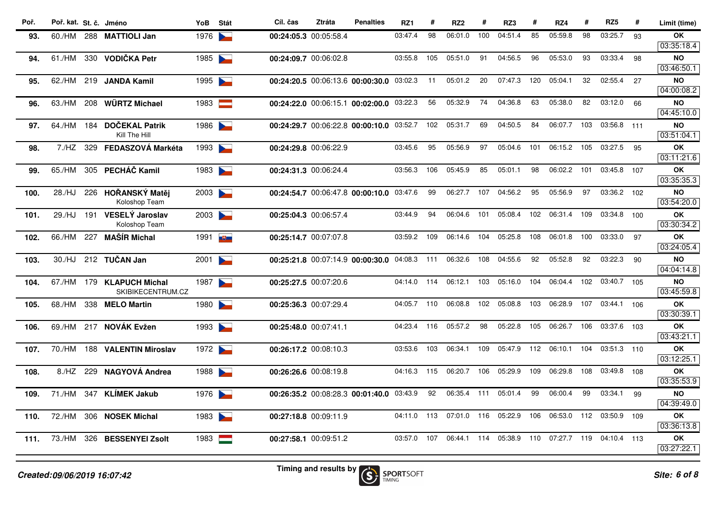| Poř. | Poř. kat. St. č. Jméno |     |                                                | YoB    | Stát                              | Cíl. čas              | <b>Ztráta</b> | <b>Penalties</b>                         | RZ1     | #   | RZ <sub>2</sub> | #    | RZ3     | #                | RZ4     | #   | RZ <sub>5</sub> | #   | Limit (time)            |
|------|------------------------|-----|------------------------------------------------|--------|-----------------------------------|-----------------------|---------------|------------------------------------------|---------|-----|-----------------|------|---------|------------------|---------|-----|-----------------|-----|-------------------------|
| 93.  | 60./HM                 |     | 288 MATTIOLI Jan                               | 1976   |                                   | 00:24:05.3 00:05:58.4 |               |                                          | 03:47.4 | 98  | 06:01.0         | 100  | 04:51.4 | 85               | 05:59.8 | 98  | 03:25.7         | 93  | OK                      |
|      |                        |     |                                                |        |                                   |                       |               |                                          |         |     |                 |      |         |                  |         |     |                 |     | 03:35:18.4              |
| 94.  | 61./HM                 |     | 330 VODIČKA Petr                               | 1985   |                                   | 00:24:09.7 00:06:02.8 |               |                                          | 03:55.8 | 105 | 05:51.0         | 91   | 04:56.5 | 96               | 05:53.0 | 93  | 03:33.4         | 98  | <b>NO</b><br>03:46:50.1 |
| 95.  | 62./HM                 |     | 219 JANDA Kamil                                | 1995   |                                   |                       |               | 00:24:20.5 00:06:13.6 00:00:30.0 03:02.3 |         | 11  | 05:01.2         | 20   | 07:47.3 | 120              | 05:04.1 | 32  | 02:55.4         | 27  | <b>NO</b>               |
|      |                        |     |                                                |        |                                   |                       |               |                                          |         |     |                 |      |         |                  |         |     |                 |     | 04:00:08.2              |
| 96.  | 63./HM                 |     | 208 WÜRTZ Michael                              | 1983   | <b>Report</b>                     |                       |               | 00:24:22.0 00:06:15.1 00:02:00.0 03:22.3 |         | 56  | 05:32.9         | 74   | 04:36.8 | 63               | 05:38.0 | 82  | 03:12.0         | 66  | <b>NO</b>               |
|      |                        |     |                                                |        |                                   |                       |               |                                          |         |     |                 |      |         |                  |         |     |                 |     | 04:45:10.0              |
| 97.  | 64./HM                 | 184 | <b>DOČEKAL Patrik</b><br>Kill The Hill         | 1986   |                                   |                       |               | 00:24:29.7 00:06:22.8 00:00:10.0 03:52.7 |         | 102 | 05:31.7         | 69   | 04:50.5 | 84               | 06:07.7 | 103 | 03:56.8 111     |     | <b>NO</b><br>03:51:04.1 |
| 98.  | 7./HZ                  | 329 | <b>FEDASZOVÁ Markéta</b>                       | 1993   |                                   | 00:24:29.8 00:06:22.9 |               |                                          | 03:45.6 | 95  | 05:56.9         | 97   | 05:04.6 | 101              | 06:15.2 | 105 | 03:27.5         | 95  | OK                      |
|      |                        |     |                                                |        |                                   |                       |               |                                          |         |     |                 |      |         |                  |         |     |                 |     | 03:11:21.6              |
| 99.  | 65./HM                 |     | 305 PECHÁČ Kamil                               | 1983   |                                   | 00:24:31.3 00:06:24.4 |               |                                          | 03:56.3 | 106 | 05:45.9         | 85   | 05:01.1 | 98               | 06:02.2 | 101 | 03:45.8 107     |     | <b>OK</b>               |
|      |                        |     |                                                |        |                                   |                       |               |                                          |         |     |                 |      |         |                  |         |     |                 |     | 03:35:35.3              |
| 100. | 28./HJ                 |     | 226 HOŘANSKÝ Matěj                             | 2003   |                                   |                       |               | 00:24:54.7 00:06:47.8 00:00:10.0         | 03:47.6 | 99  | 06:27.7         | 107  | 04:56.2 | 95               | 05:56.9 | 97  | 03:36.2 102     |     | <b>NO</b>               |
|      |                        |     | Koloshop Team<br><b>VESELÝ Jaroslav</b>        |        |                                   |                       |               |                                          | 03:44.9 | 94  | 06:04.6         | 101  | 05:08.4 | 102 <sub>2</sub> | 06:31.4 | 109 | 03:34.8 100     |     | 03:54:20.0<br><b>OK</b> |
| 101. | 29./HJ                 | 191 | Koloshop Team                                  | 2003   |                                   | 00:25:04.3 00:06:57.4 |               |                                          |         |     |                 |      |         |                  |         |     |                 |     | 03:30:34.2              |
| 102. | 66./HM                 | 227 | <b>MAŠÍR Michal</b>                            | 1991 U |                                   | 00:25:14.7 00:07:07.8 |               |                                          | 03:59.2 | 109 | 06:14.6         | 104  | 05:25.8 | 108              | 06:01.8 | 100 | 03:33.0         | 97  | OK                      |
|      |                        |     |                                                |        |                                   |                       |               |                                          |         |     |                 |      |         |                  |         |     |                 |     | 03:24:05.4              |
| 103. | 30./HJ                 |     | 212 TUČAN Jan                                  | 2001   | <b>Particularly</b>               |                       |               | 00:25:21.8 00:07:14.9 00:00:30.0 04:08.3 |         | 111 | 06:32.6         | 108  | 04:55.6 | 92               | 05:52.8 | 92  | 03:22.3         | 90  | <b>NO</b>               |
|      |                        |     |                                                |        |                                   |                       |               |                                          |         |     |                 |      |         |                  |         |     |                 |     | 04:04:14.8              |
| 104. |                        |     | 67./HM 179 KLAPUCH Michal<br>SKIBIKECENTRUM.CZ | 1987   | <b>Contract Contract Contract</b> | 00:25:27.5 00:07:20.6 |               |                                          | 04:14.0 | 114 | 06:12.1         | 103  | 05:16.0 | 104              | 06:04.4 | 102 | 03:40.7 105     |     | <b>NO</b><br>03:45:59.8 |
| 105. | 68./HM                 |     | 338 MELO Martin                                | 1980   |                                   | 00:25:36.3 00:07:29.4 |               |                                          | 04:05.7 | 110 | 06:08.8         | 102  | 05:08.8 | 103              | 06:28.9 | 107 | 03:44.1         | 106 | <b>OK</b>               |
|      |                        |     |                                                |        |                                   |                       |               |                                          |         |     |                 |      |         |                  |         |     |                 |     | 03:30:39.1              |
| 106. | 69./HM                 |     | 217 NOVÁK Evžen                                | 1993   |                                   | 00:25:48.0 00:07:41.1 |               |                                          | 04:23.4 | 116 | 05:57.2         | 98   | 05:22.8 | 105              | 06:26.7 | 106 | 03:37.6 103     |     | OK                      |
|      |                        |     |                                                |        |                                   |                       |               |                                          |         |     |                 |      |         |                  |         |     |                 |     | 03:43:21.1              |
| 107. | 70./HM                 |     | 188 VALENTIN Miroslav                          | 1972   |                                   | 00:26:17.2 00:08:10.3 |               |                                          | 03:53.6 | 103 | 06:34.1         | 109  | 05:47.9 | 112              | 06:10.1 | 104 | 03:51.3         | 110 | ΟK                      |
|      |                        |     |                                                |        |                                   |                       |               |                                          |         |     |                 |      |         |                  |         |     |                 |     | 03:12:25.1              |
| 108. | 8./HZ                  | 229 | <b>NAGYOVÁ Andrea</b>                          | 1988   | <b>Contract Contract Contract</b> | 00:26:26.6 00:08:19.8 |               |                                          | 04:16.3 | 115 | 06:20.7         | 106  | 05:29.9 | 109              | 06:29.8 | 108 | 03:49.8         | 108 | ΟK<br>03:35:53.9        |
| 109. | 71./HM                 | 347 | <b>KLIMEK Jakub</b>                            | 1976   |                                   |                       |               | 00:26:35.2 00:08:28.3 00:01:40.0         | 03:43.9 | 92  | 06:35.4         | -111 | 05:01.4 | 99               | 06:00.4 | 99  | 03:34.1         | 99  | <b>NO</b>               |
|      |                        |     |                                                |        |                                   |                       |               |                                          |         |     |                 |      |         |                  |         |     |                 |     | 04:39:49.0              |
| 110. | 72./HM                 |     | 306 NOSEK Michal                               | 1983   |                                   | 00:27:18.8 00:09:11.9 |               |                                          | 04:11.0 | 113 | 07:01.0         | 116  | 05:22.9 | 106              | 06:53.0 | 112 | 03:50.9         | 109 | <b>OK</b>               |
|      |                        |     |                                                |        |                                   |                       |               |                                          |         |     |                 |      |         |                  |         |     |                 |     | 03:36:13.8              |
| 111. | 73./HM                 |     | 326 BESSENYEI Zsolt                            | 1983   | <b>Service</b>                    | 00:27:58.1 00:09:51.2 |               |                                          | 03:57.0 | 107 | 06:44.1         | 114  | 05:38.9 | 110              | 07:27.7 | 119 | 04:10.4 113     |     | OK                      |
|      |                        |     |                                                |        |                                   |                       |               |                                          |         |     |                 |      |         |                  |         |     |                 |     | 03:27:22.1              |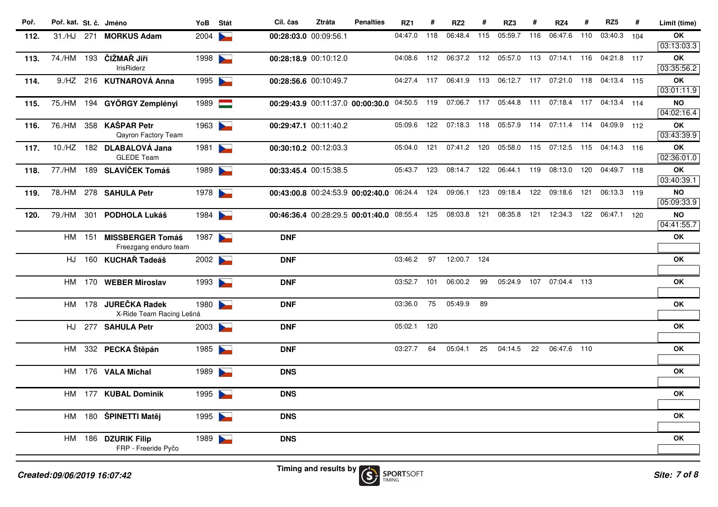| Poř. | Poř. kat. St. č. Jméno |     |                                                  | YoB  | Stát                     | Cíl. čas              | <b>Ztráta</b> | <b>Penalties</b>                             | RZ1         | #   | RZ <sub>2</sub> | #   | RZ3                                             | #   | RZ4                     | #   | RZ <sub>5</sub>         | #   | Limit (time)            |
|------|------------------------|-----|--------------------------------------------------|------|--------------------------|-----------------------|---------------|----------------------------------------------|-------------|-----|-----------------|-----|-------------------------------------------------|-----|-------------------------|-----|-------------------------|-----|-------------------------|
| 112. | 31./HJ                 | 271 | <b>MORKUS Adam</b>                               | 2004 |                          | 00:28:03.0 00:09:56.1 |               |                                              | 04:47.0     | 118 | 06:48.4         | 115 | 05:59.7                                         | 116 | 06:47.6                 | 110 | 03:40.3                 | 104 | OK<br>03:13:03.3        |
| 113. | 74./HM 193             |     | ČIŽMAŘ Jiří<br><b>IrisRiderz</b>                 | 1998 |                          | 00:28:18.9 00:10:12.0 |               |                                              | 04:08.6     | 112 | 06:37.2 112     |     | 05:57.0                                         | 113 | 07:14.1                 | 116 | 04:21.8 117             |     | ОK<br>03:35:56.2        |
| 114. | 9./HZ                  |     | 216 KUTNAROVÁ Anna                               | 1995 |                          | 00:28:56.6 00:10:49.7 |               |                                              | 04:27.4 117 |     |                 |     | 06:41.9 113 06:12.7 117 07:21.0                 |     |                         | 118 | 04:13.4 115             |     | OK<br>03:01:11.9        |
| 115. |                        |     | 75./HM 194 GYÖRGY Zemplényi                      | 1989 | an ang                   |                       |               | 00:29:43.9 00:11:37.0 00:00:30.0 04:50.5 119 |             |     |                 |     | 07:06.7 117 05:44.8 111 07:18.4 117 04:13.4 114 |     |                         |     |                         |     | <b>NO</b><br>04:02:16.4 |
| 116. | 76./HM                 |     | 358 KAŠPAR Petr<br>Qayron Factory Team           | 1963 |                          | 00:29:47.1 00:11:40.2 |               |                                              | 05:09.6     | 122 | 07:18.3 118     |     | 05:57.9                                         | 114 | 07:11.4                 |     | 114 04:09.9 112         |     | OK<br>03:43:39.9        |
| 117. |                        |     | 10./HZ 182 DLABALOVÁ Jana<br><b>GLEDE Team</b>   | 1981 | $\overline{\phantom{0}}$ | 00:30:10.2 00:12:03.3 |               |                                              | 05:04.0     | 121 | 07:41.2         | 120 | 05:58.0                                         | 115 |                         |     | 07:12.5 115 04:14.3 116 |     | OK<br>02:36:01.0        |
| 118. |                        |     | 77./HM 189 SLAVÍČEK Tomáš                        | 1989 |                          | 00:33:45.4 00:15:38.5 |               |                                              | 05:43.7     | 123 | 08:14.7         | 122 | 06:44.1                                         | 119 | 08:13.0                 | 120 | 04:49.7 118             |     | OK<br>03:40:39.1        |
| 119. |                        |     | 78./HM 278 SAHULA Petr                           | 1978 |                          |                       |               | 00:43:00.8 00:24:53.9 00:02:40.0 06:24.4 124 |             |     | 09:06.1         | 123 |                                                 |     | 09:18.4 122 09:18.6 121 |     | 06:13.3 119             |     | <b>NO</b><br>05:09:33.9 |
| 120. | 79./HM                 |     | 301 PODHOLA Lukáš                                | 1984 |                          |                       |               | 00:46:36.4 00:28:29.5 00:01:40.0 08:55.4     |             | 125 | 08:03.8         | 121 | 08:35.8                                         | 121 | 12:34.3 122             |     | 06:47.1 120             |     | <b>NO</b><br>04:41:55.7 |
|      | HM                     |     | 151 MISSBERGER Tomáš<br>Freezgang enduro team    | 1987 |                          | <b>DNF</b>            |               |                                              |             |     |                 |     |                                                 |     |                         |     |                         |     | OK                      |
|      | HJ                     |     | 160 KUCHAŘ Tadeáš                                | 2002 |                          | <b>DNF</b>            |               |                                              | 03:46.2     | 97  | 12:00.7 124     |     |                                                 |     |                         |     |                         |     | <b>OK</b>               |
|      | HM                     |     | 170 WEBER Miroslav                               | 1993 |                          | <b>DNF</b>            |               |                                              | 03:52.7     | 101 | 06:00.2         | 99  | 05:24.9                                         | 107 | 07:04.4 113             |     |                         |     | OK                      |
|      |                        |     | HM 178 JUREČKA Radek<br>X-Ride Team Racing Lešná | 1980 |                          | <b>DNF</b>            |               |                                              | 03:36.0     | 75  | 05:49.9         | 89  |                                                 |     |                         |     |                         |     | <b>OK</b>               |
|      | HJ                     |     | 277 SAHULA Petr                                  | 2003 |                          | <b>DNF</b>            |               |                                              | 05:02.1     | 120 |                 |     |                                                 |     |                         |     |                         |     | <b>OK</b>               |
|      | HM                     |     | 332 PECKA Štěpán                                 | 1985 |                          | <b>DNF</b>            |               |                                              | 03:27.7     | 64  | 05:04.1         | 25  | 04:14.5                                         | 22  | 06:47.6 110             |     |                         |     | OK                      |
|      | HM                     |     | 176 VALA Michal                                  | 1989 |                          | <b>DNS</b>            |               |                                              |             |     |                 |     |                                                 |     |                         |     |                         |     | OK                      |
|      |                        |     | HM 177 KUBAL Dominik                             | 1995 | <b>Contract Contract</b> | <b>DNS</b>            |               |                                              |             |     |                 |     |                                                 |     |                         |     |                         |     | OK                      |
|      | HM                     |     | 180 ŠPINETTI Matěj                               | 1995 |                          | <b>DNS</b>            |               |                                              |             |     |                 |     |                                                 |     |                         |     |                         |     | OK                      |
|      | HM                     |     | 186 DZURIK Filip<br>FRP - Freeride Pyčo          | 1989 | $\overline{\phantom{0}}$ | <b>DNS</b>            |               |                                              |             |     |                 |     |                                                 |     |                         |     |                         |     | OK                      |